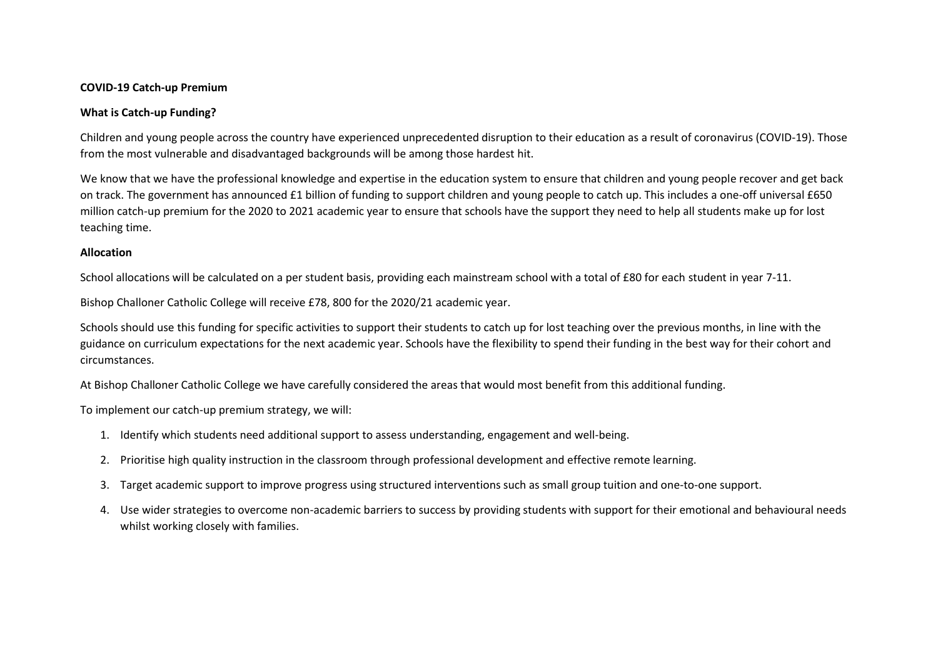### **COVID-19 Catch-up Premium**

### **What is Catch-up Funding?**

Children and young people across the country have experienced unprecedented disruption to their education as a result of coronavirus (COVID-19). Those from the most vulnerable and disadvantaged backgrounds will be among those hardest hit.

We know that we have the professional knowledge and expertise in the education system to ensure that children and young people recover and get back on track. The government has announced £1 billion of funding to support children and young people to catch up. This includes a one-off universal £650 million catch-up premium for the 2020 to 2021 academic year to ensure that schools have the support they need to help all students make up for lost teaching time.

#### **Allocation**

School allocations will be calculated on a per student basis, providing each mainstream school with a total of £80 for each student in year 7-11.

Bishop Challoner Catholic College will receive £78, 800 for the 2020/21 academic year.

Schools should use this funding for specific activities to support their students to catch up for lost teaching over the previous months, in line with the guidance on curriculum expectations for the next academic year. Schools have the flexibility to spend their funding in the best way for their cohort and circumstances.

At Bishop Challoner Catholic College we have carefully considered the areas that would most benefit from this additional funding.

To implement our catch-up premium strategy, we will:

- 1. Identify which students need additional support to assess understanding, engagement and well-being.
- 2. Prioritise high quality instruction in the classroom through professional development and effective remote learning.
- 3. Target academic support to improve progress using structured interventions such as small group tuition and one-to-one support.
- 4. Use wider strategies to overcome non-academic barriers to success by providing students with support for their emotional and behavioural needs whilst working closely with families.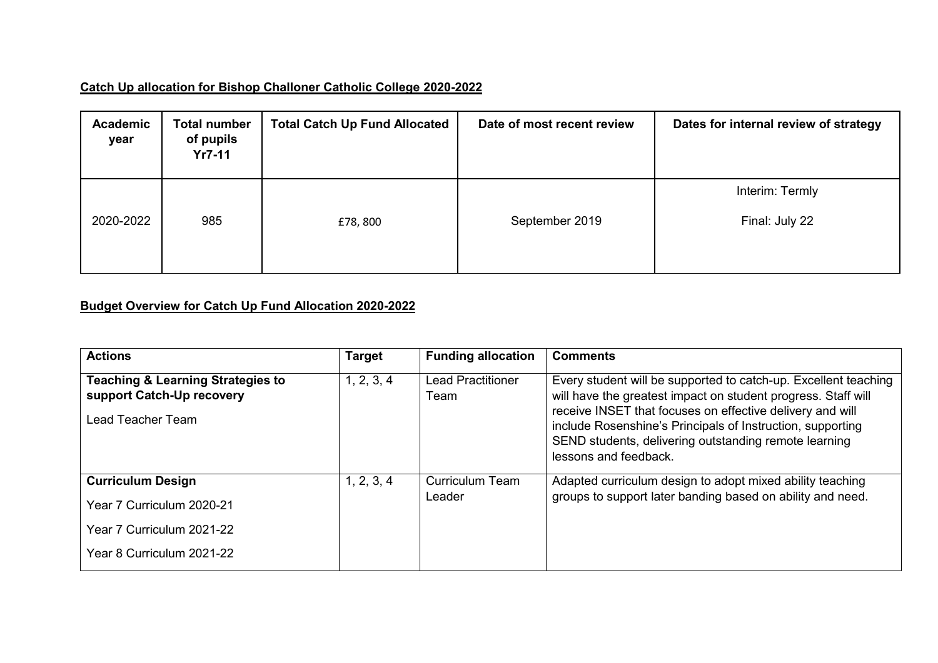# **Catch Up allocation for Bishop Challoner Catholic College 2020-2022**

| <b>Academic</b><br>year | <b>Total number</b><br>of pupils<br>$Yr7-11$ | <b>Total Catch Up Fund Allocated</b> | Date of most recent review | Dates for internal review of strategy |
|-------------------------|----------------------------------------------|--------------------------------------|----------------------------|---------------------------------------|
|                         |                                              |                                      |                            | Interim: Termly                       |
| 2020-2022               | 985                                          | £78,800                              | September 2019             | Final: July 22                        |
|                         |                                              |                                      |                            |                                       |

## **Budget Overview for Catch Up Fund Allocation 2020-2022**

| <b>Actions</b>                                                                                 | Target     | <b>Funding allocation</b>        | <b>Comments</b>                                                                                                                                                                                                                                                                                                                               |
|------------------------------------------------------------------------------------------------|------------|----------------------------------|-----------------------------------------------------------------------------------------------------------------------------------------------------------------------------------------------------------------------------------------------------------------------------------------------------------------------------------------------|
| <b>Teaching &amp; Learning Strategies to</b><br>support Catch-Up recovery<br>Lead Teacher Team | 1, 2, 3, 4 | <b>Lead Practitioner</b><br>Team | Every student will be supported to catch-up. Excellent teaching<br>will have the greatest impact on student progress. Staff will<br>receive INSET that focuses on effective delivery and will<br>include Rosenshine's Principals of Instruction, supporting<br>SEND students, delivering outstanding remote learning<br>lessons and feedback. |
| <b>Curriculum Design</b>                                                                       | 1, 2, 3, 4 | <b>Curriculum Team</b>           | Adapted curriculum design to adopt mixed ability teaching                                                                                                                                                                                                                                                                                     |
| Year 7 Curriculum 2020-21                                                                      |            | Leader                           | groups to support later banding based on ability and need.                                                                                                                                                                                                                                                                                    |
| Year 7 Curriculum 2021-22                                                                      |            |                                  |                                                                                                                                                                                                                                                                                                                                               |
| Year 8 Curriculum 2021-22                                                                      |            |                                  |                                                                                                                                                                                                                                                                                                                                               |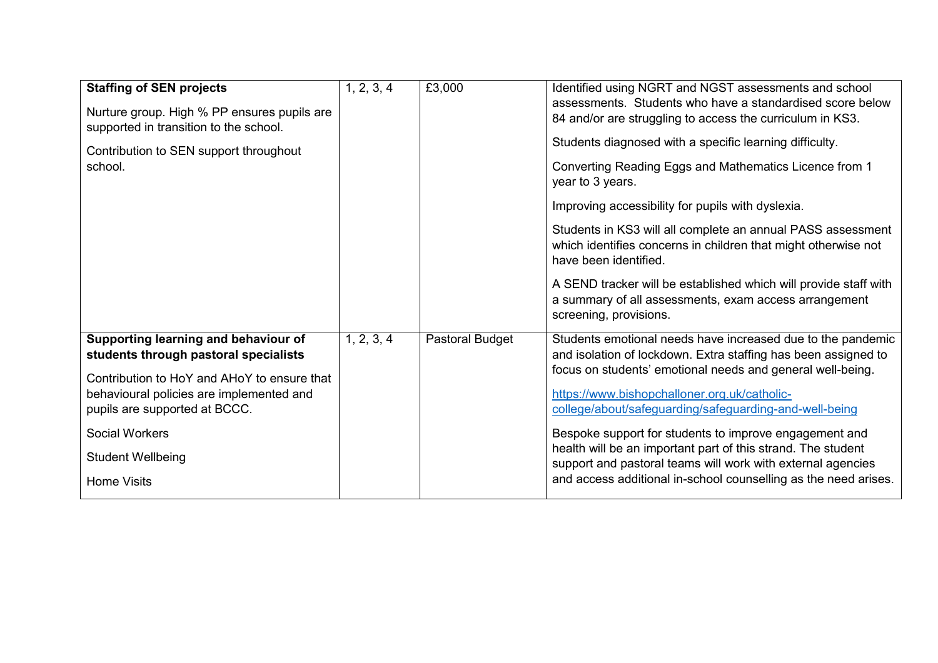| <b>Staffing of SEN projects</b><br>Nurture group. High % PP ensures pupils are<br>supported in transition to the school.<br>Contribution to SEN support throughout<br>school.                                                                                                        | 1, 2, 3, 4 | £3,000          | Identified using NGRT and NGST assessments and school<br>assessments. Students who have a standardised score below<br>84 and/or are struggling to access the curriculum in KS3.<br>Students diagnosed with a specific learning difficulty.<br>Converting Reading Eggs and Mathematics Licence from 1<br>year to 3 years.<br>Improving accessibility for pupils with dyslexia.<br>Students in KS3 will all complete an annual PASS assessment<br>which identifies concerns in children that might otherwise not<br>have been identified.<br>A SEND tracker will be established which will provide staff with<br>a summary of all assessments, exam access arrangement<br>screening, provisions. |
|--------------------------------------------------------------------------------------------------------------------------------------------------------------------------------------------------------------------------------------------------------------------------------------|------------|-----------------|------------------------------------------------------------------------------------------------------------------------------------------------------------------------------------------------------------------------------------------------------------------------------------------------------------------------------------------------------------------------------------------------------------------------------------------------------------------------------------------------------------------------------------------------------------------------------------------------------------------------------------------------------------------------------------------------|
| Supporting learning and behaviour of<br>students through pastoral specialists<br>Contribution to HoY and AHoY to ensure that<br>behavioural policies are implemented and<br>pupils are supported at BCCC.<br><b>Social Workers</b><br><b>Student Wellbeing</b><br><b>Home Visits</b> | 1, 2, 3, 4 | Pastoral Budget | Students emotional needs have increased due to the pandemic<br>and isolation of lockdown. Extra staffing has been assigned to<br>focus on students' emotional needs and general well-being.<br>https://www.bishopchalloner.org.uk/catholic-<br>college/about/safeguarding/safeguarding-and-well-being<br>Bespoke support for students to improve engagement and<br>health will be an important part of this strand. The student<br>support and pastoral teams will work with external agencies<br>and access additional in-school counselling as the need arises.                                                                                                                              |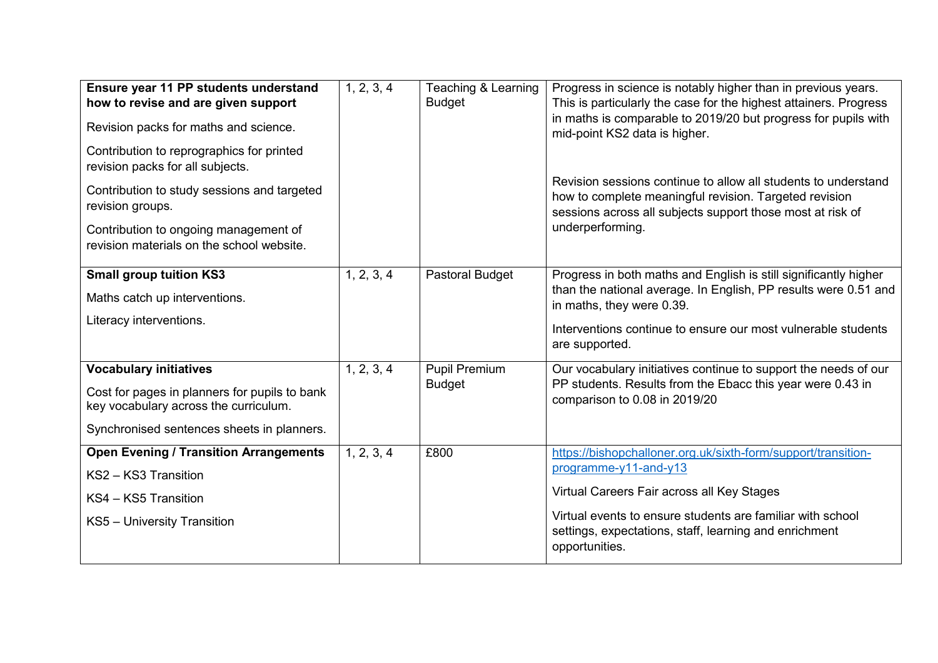| Ensure year 11 PP students understand<br>how to revise and are given support<br>Revision packs for maths and science.<br>Contribution to reprographics for printed<br>revision packs for all subjects.<br>Contribution to study sessions and targeted<br>revision groups.<br>Contribution to ongoing management of<br>revision materials on the school website. | 1, 2, 3, 4 | Teaching & Learning<br><b>Budget</b>  | Progress in science is notably higher than in previous years.<br>This is particularly the case for the highest attainers. Progress<br>in maths is comparable to 2019/20 but progress for pupils with<br>mid-point KS2 data is higher.<br>Revision sessions continue to allow all students to understand<br>how to complete meaningful revision. Targeted revision<br>sessions across all subjects support those most at risk of<br>underperforming. |
|-----------------------------------------------------------------------------------------------------------------------------------------------------------------------------------------------------------------------------------------------------------------------------------------------------------------------------------------------------------------|------------|---------------------------------------|-----------------------------------------------------------------------------------------------------------------------------------------------------------------------------------------------------------------------------------------------------------------------------------------------------------------------------------------------------------------------------------------------------------------------------------------------------|
| <b>Small group tuition KS3</b><br>Maths catch up interventions.<br>Literacy interventions.                                                                                                                                                                                                                                                                      | 1, 2, 3, 4 | Pastoral Budget                       | Progress in both maths and English is still significantly higher<br>than the national average. In English, PP results were 0.51 and<br>in maths, they were 0.39.<br>Interventions continue to ensure our most vulnerable students<br>are supported.                                                                                                                                                                                                 |
| <b>Vocabulary initiatives</b><br>Cost for pages in planners for pupils to bank<br>key vocabulary across the curriculum.<br>Synchronised sentences sheets in planners.                                                                                                                                                                                           | 1, 2, 3, 4 | <b>Pupil Premium</b><br><b>Budget</b> | Our vocabulary initiatives continue to support the needs of our<br>PP students. Results from the Ebacc this year were 0.43 in<br>comparison to 0.08 in 2019/20                                                                                                                                                                                                                                                                                      |
| <b>Open Evening / Transition Arrangements</b><br>KS2 - KS3 Transition<br>KS4 - KS5 Transition<br>KS5 - University Transition                                                                                                                                                                                                                                    | 1, 2, 3, 4 | £800                                  | https://bishopchalloner.org.uk/sixth-form/support/transition-<br>programme-y11-and-y13<br>Virtual Careers Fair across all Key Stages<br>Virtual events to ensure students are familiar with school<br>settings, expectations, staff, learning and enrichment<br>opportunities.                                                                                                                                                                      |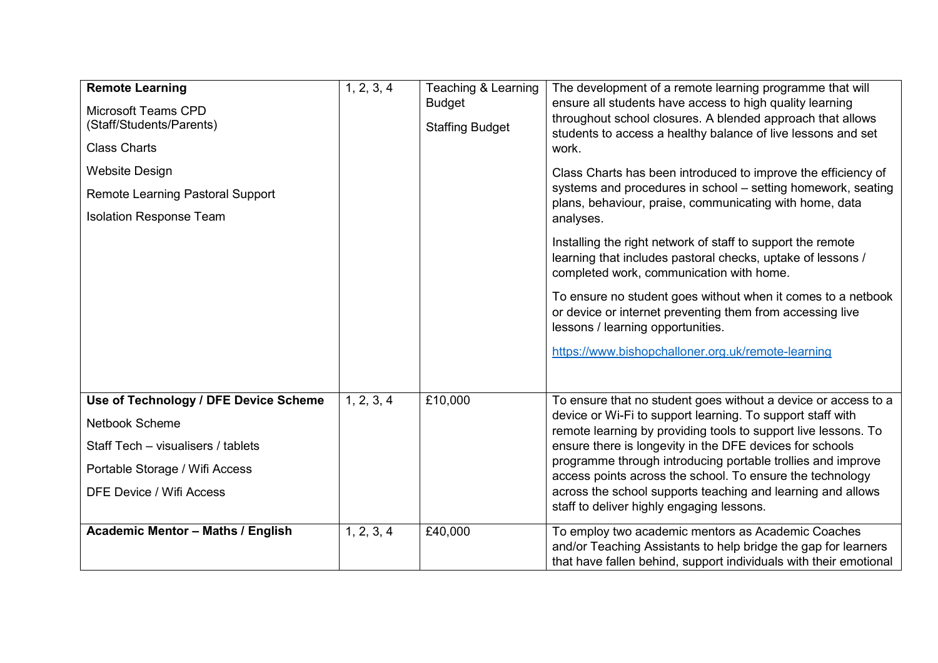| <b>Remote Learning</b><br><b>Microsoft Teams CPD</b><br>(Staff/Students/Parents)<br><b>Class Charts</b><br><b>Website Design</b><br><b>Remote Learning Pastoral Support</b><br><b>Isolation Response Team</b> | 1, 2, 3, 4 | Teaching & Learning<br><b>Budget</b><br><b>Staffing Budget</b> | The development of a remote learning programme that will<br>ensure all students have access to high quality learning<br>throughout school closures. A blended approach that allows<br>students to access a healthy balance of live lessons and set<br>work.<br>Class Charts has been introduced to improve the efficiency of<br>systems and procedures in school - setting homework, seating<br>plans, behaviour, praise, communicating with home, data<br>analyses.<br>Installing the right network of staff to support the remote<br>learning that includes pastoral checks, uptake of lessons /<br>completed work, communication with home.<br>To ensure no student goes without when it comes to a netbook<br>or device or internet preventing them from accessing live<br>lessons / learning opportunities.<br>https://www.bishopchalloner.org.uk/remote-learning |
|---------------------------------------------------------------------------------------------------------------------------------------------------------------------------------------------------------------|------------|----------------------------------------------------------------|------------------------------------------------------------------------------------------------------------------------------------------------------------------------------------------------------------------------------------------------------------------------------------------------------------------------------------------------------------------------------------------------------------------------------------------------------------------------------------------------------------------------------------------------------------------------------------------------------------------------------------------------------------------------------------------------------------------------------------------------------------------------------------------------------------------------------------------------------------------------|
| Use of Technology / DFE Device Scheme<br><b>Netbook Scheme</b><br>Staff Tech - visualisers / tablets<br>Portable Storage / Wifi Access<br><b>DFE Device / Wifi Access</b>                                     | 1, 2, 3, 4 | £10,000                                                        | To ensure that no student goes without a device or access to a<br>device or Wi-Fi to support learning. To support staff with<br>remote learning by providing tools to support live lessons. To<br>ensure there is longevity in the DFE devices for schools<br>programme through introducing portable trollies and improve<br>access points across the school. To ensure the technology<br>across the school supports teaching and learning and allows<br>staff to deliver highly engaging lessons.                                                                                                                                                                                                                                                                                                                                                                     |
| <b>Academic Mentor - Maths / English</b>                                                                                                                                                                      | 1, 2, 3, 4 | £40,000                                                        | To employ two academic mentors as Academic Coaches<br>and/or Teaching Assistants to help bridge the gap for learners<br>that have fallen behind, support individuals with their emotional                                                                                                                                                                                                                                                                                                                                                                                                                                                                                                                                                                                                                                                                              |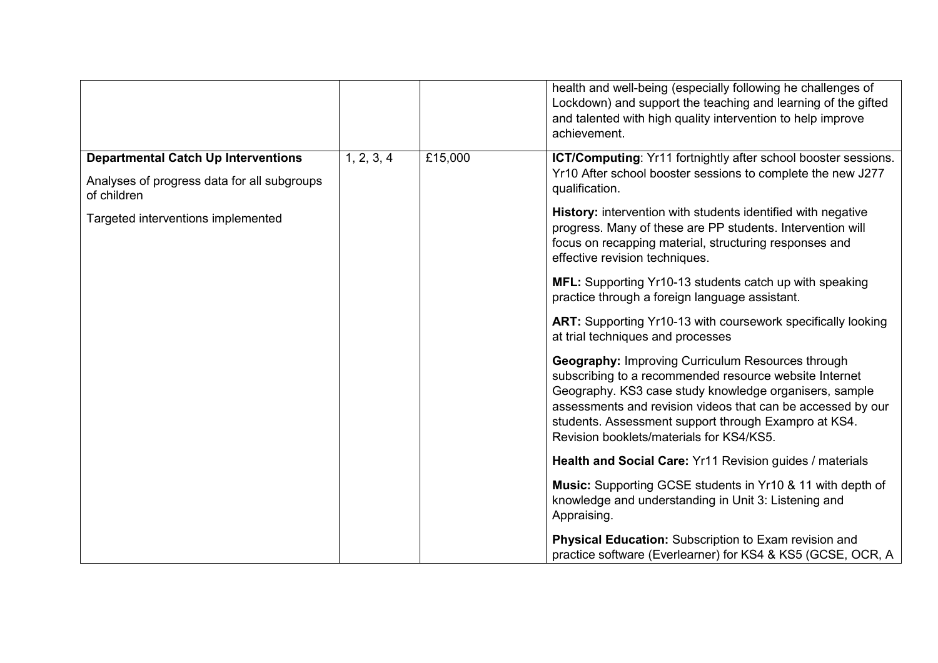|                                                                                                          |            |         | health and well-being (especially following he challenges of<br>Lockdown) and support the teaching and learning of the gifted<br>and talented with high quality intervention to help improve<br>achievement.                                                                                                                                    |
|----------------------------------------------------------------------------------------------------------|------------|---------|-------------------------------------------------------------------------------------------------------------------------------------------------------------------------------------------------------------------------------------------------------------------------------------------------------------------------------------------------|
| <b>Departmental Catch Up Interventions</b><br>Analyses of progress data for all subgroups<br>of children | 1, 2, 3, 4 | £15,000 | ICT/Computing: Yr11 fortnightly after school booster sessions.<br>Yr10 After school booster sessions to complete the new J277<br>qualification.                                                                                                                                                                                                 |
| Targeted interventions implemented                                                                       |            |         | <b>History:</b> intervention with students identified with negative<br>progress. Many of these are PP students. Intervention will<br>focus on recapping material, structuring responses and<br>effective revision techniques.                                                                                                                   |
|                                                                                                          |            |         | MFL: Supporting Yr10-13 students catch up with speaking<br>practice through a foreign language assistant.                                                                                                                                                                                                                                       |
|                                                                                                          |            |         | ART: Supporting Yr10-13 with coursework specifically looking<br>at trial techniques and processes                                                                                                                                                                                                                                               |
|                                                                                                          |            |         | <b>Geography: Improving Curriculum Resources through</b><br>subscribing to a recommended resource website Internet<br>Geography. KS3 case study knowledge organisers, sample<br>assessments and revision videos that can be accessed by our<br>students. Assessment support through Exampro at KS4.<br>Revision booklets/materials for KS4/KS5. |
|                                                                                                          |            |         | Health and Social Care: Yr11 Revision guides / materials                                                                                                                                                                                                                                                                                        |
|                                                                                                          |            |         | <b>Music:</b> Supporting GCSE students in Yr10 & 11 with depth of<br>knowledge and understanding in Unit 3: Listening and<br>Appraising.                                                                                                                                                                                                        |
|                                                                                                          |            |         | <b>Physical Education:</b> Subscription to Exam revision and<br>practice software (Everlearner) for KS4 & KS5 (GCSE, OCR, A                                                                                                                                                                                                                     |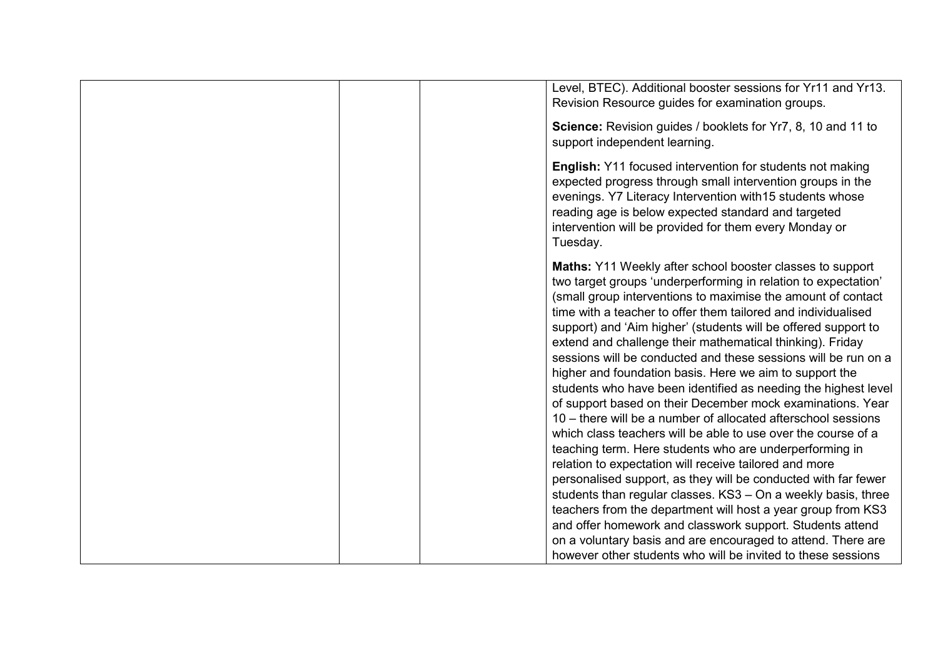|  | Level, BTEC). Additional booster sessions for Yr11 and Yr13.<br>Revision Resource guides for examination groups.                                                                                                                                                                                                                                                                                                                                                                                                                                                                                                                                                                                                                                                                                                                                                                                                                                                                                                                                                                                                                                                                                                                                |
|--|-------------------------------------------------------------------------------------------------------------------------------------------------------------------------------------------------------------------------------------------------------------------------------------------------------------------------------------------------------------------------------------------------------------------------------------------------------------------------------------------------------------------------------------------------------------------------------------------------------------------------------------------------------------------------------------------------------------------------------------------------------------------------------------------------------------------------------------------------------------------------------------------------------------------------------------------------------------------------------------------------------------------------------------------------------------------------------------------------------------------------------------------------------------------------------------------------------------------------------------------------|
|  | Science: Revision guides / booklets for Yr7, 8, 10 and 11 to<br>support independent learning.                                                                                                                                                                                                                                                                                                                                                                                                                                                                                                                                                                                                                                                                                                                                                                                                                                                                                                                                                                                                                                                                                                                                                   |
|  | <b>English:</b> Y11 focused intervention for students not making<br>expected progress through small intervention groups in the<br>evenings. Y7 Literacy Intervention with 15 students whose<br>reading age is below expected standard and targeted<br>intervention will be provided for them every Monday or<br>Tuesday.                                                                                                                                                                                                                                                                                                                                                                                                                                                                                                                                                                                                                                                                                                                                                                                                                                                                                                                        |
|  | Maths: Y11 Weekly after school booster classes to support<br>two target groups 'underperforming in relation to expectation'<br>(small group interventions to maximise the amount of contact<br>time with a teacher to offer them tailored and individualised<br>support) and 'Aim higher' (students will be offered support to<br>extend and challenge their mathematical thinking). Friday<br>sessions will be conducted and these sessions will be run on a<br>higher and foundation basis. Here we aim to support the<br>students who have been identified as needing the highest level<br>of support based on their December mock examinations. Year<br>10 – there will be a number of allocated afterschool sessions<br>which class teachers will be able to use over the course of a<br>teaching term. Here students who are underperforming in<br>relation to expectation will receive tailored and more<br>personalised support, as they will be conducted with far fewer<br>students than regular classes. KS3 - On a weekly basis, three<br>teachers from the department will host a year group from KS3<br>and offer homework and classwork support. Students attend<br>on a voluntary basis and are encouraged to attend. There are |
|  | however other students who will be invited to these sessions                                                                                                                                                                                                                                                                                                                                                                                                                                                                                                                                                                                                                                                                                                                                                                                                                                                                                                                                                                                                                                                                                                                                                                                    |